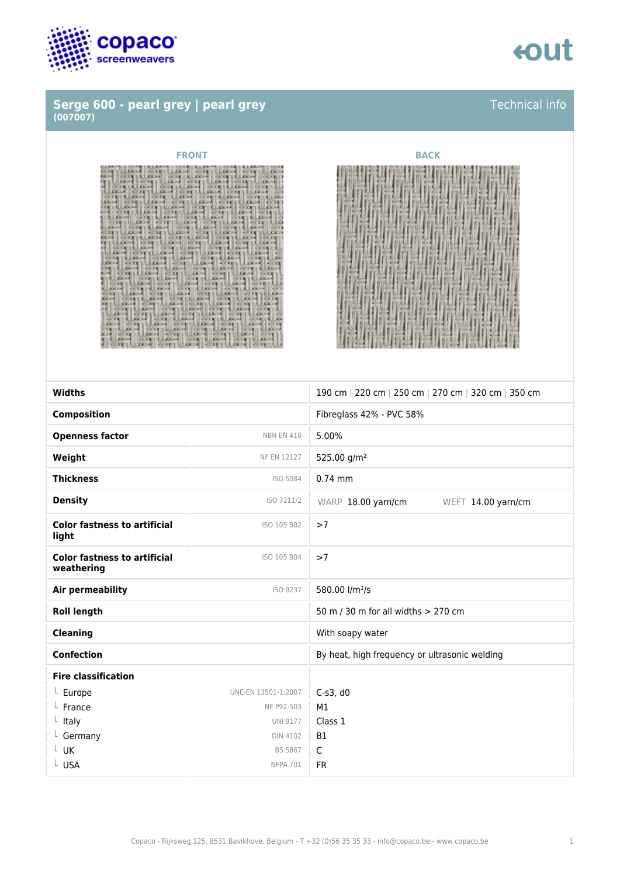

### **Serge 600 - pearl grey | pearl grey (007007)**

## **eout**

### Technical info

## q 'n Ë List 37 Б ij 言

### **FRONT BACK**



| <b>Widths</b>                                     |                     | 190 cm   220 cm   250 cm   270 cm   320 cm   350 cm |
|---------------------------------------------------|---------------------|-----------------------------------------------------|
|                                                   |                     |                                                     |
| <b>Composition</b>                                |                     | Fibreglass 42% - PVC 58%                            |
| <b>Openness factor</b>                            | <b>NBN EN 410</b>   | 5.00%                                               |
| Weight                                            | NF EN 12127         | 525.00 g/m <sup>2</sup>                             |
| <b>Thickness</b>                                  | ISO 5084            | $0.74$ mm                                           |
| <b>Density</b>                                    | ISO 7211/2          | WARP 18.00 yarn/cm<br>WEFT 14.00 yarn/cm            |
| <b>Color fastness to artificial</b><br>light      | ISO 105 B02         | >7                                                  |
| <b>Color fastness to artificial</b><br>weathering | ISO 105 B04         | >7                                                  |
| <b>Air permeability</b>                           | ISO 9237            | 580.00 l/m <sup>2</sup> /s                          |
| <b>Roll length</b>                                |                     | 50 m / 30 m for all widths > 270 cm                 |
| <b>Cleaning</b>                                   |                     | With soapy water                                    |
| <b>Confection</b>                                 |                     | By heat, high frequency or ultrasonic welding       |
| <b>Fire classification</b>                        |                     |                                                     |
| $L$ Europe                                        | UNE-EN 13501-1:2007 | $C-s3$ , d $0$                                      |
| $L$ France                                        | NF P92-503          | M1                                                  |
| $L$ Italy                                         | <b>UNI 9177</b>     | Class 1                                             |
| $L$ Germany                                       | <b>DIN 4102</b>     | <b>B1</b>                                           |
| $L$ UK                                            | <b>BS 5867</b>      | $\mathsf{C}$                                        |
| L USA                                             | <b>NFPA 701</b>     | <b>FR</b>                                           |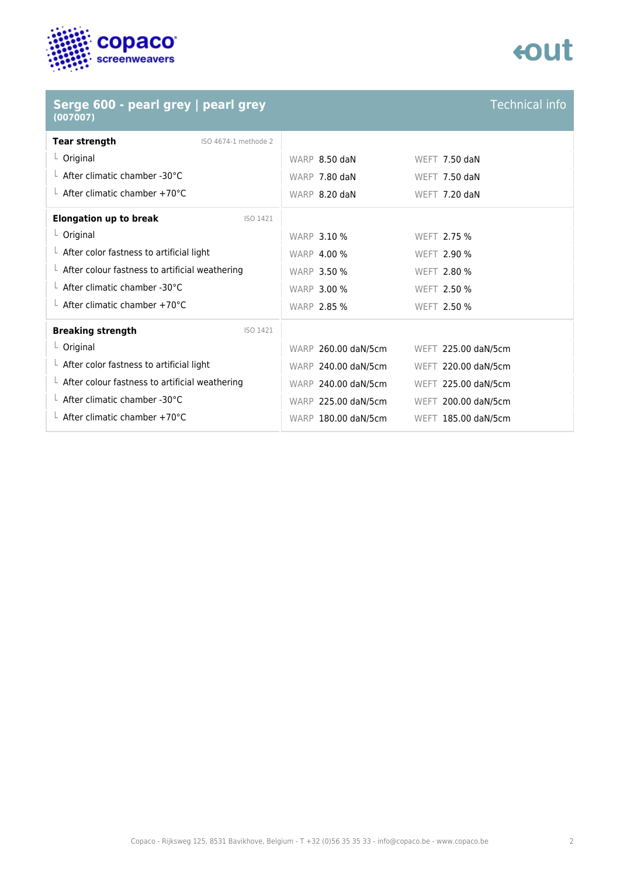

| Serge 600 - pearl grey   pearl grey<br>(007007)        |                     | <b>Technical info</b> |
|--------------------------------------------------------|---------------------|-----------------------|
| <b>Tear strength</b><br>ISO 4674-1 methode 2           |                     |                       |
| $L$ Original                                           | WARP 8.50 daN       | WEET $7.50$ daN       |
| $\perp$ After climatic chamber -30°C                   | WARP 7.80 daN       | WEFT 7.50 daN         |
| $\perp$ After climatic chamber +70°C                   | WARP 8.20 daN       | WEFT 7.20 daN         |
| <b>Elongation up to break</b><br>ISO 1421              |                     |                       |
| $L$ Original                                           | <b>WARP 3.10 %</b>  | WEFT 2.75 %           |
| $\perp$ After color fastness to artificial light       | <b>WARP 4.00 %</b>  | WEFT 2.90 %           |
| $\perp$ After colour fastness to artificial weathering | <b>WARP 3.50 %</b>  | WEFT 2.80 %           |
| $\perp$ After climatic chamber -30°C                   | <b>WARP 3.00 %</b>  | WEFT 2.50 %           |
| $\perp$ After climatic chamber +70°C                   | <b>WARP 2.85 %</b>  | <b>WEFT 2.50 %</b>    |
| <b>Breaking strength</b><br>ISO 1421                   |                     |                       |
| $L$ Original                                           | WARP 260.00 daN/5cm | WEFT 225.00 daN/5cm   |
| $L$ After color fastness to artificial light           | WARP 240.00 daN/5cm | WEFT 220.00 daN/5cm   |
| $\perp$ After colour fastness to artificial weathering | WARP 240.00 daN/5cm | WEFT 225.00 daN/5cm   |
| $\perp$ After climatic chamber -30°C                   | WARP 225.00 daN/5cm | WEFT 200.00 daN/5cm   |
| $\perp$ After climatic chamber +70°C                   | WARP 180.00 daN/5cm | WEFT 185.00 daN/5cm   |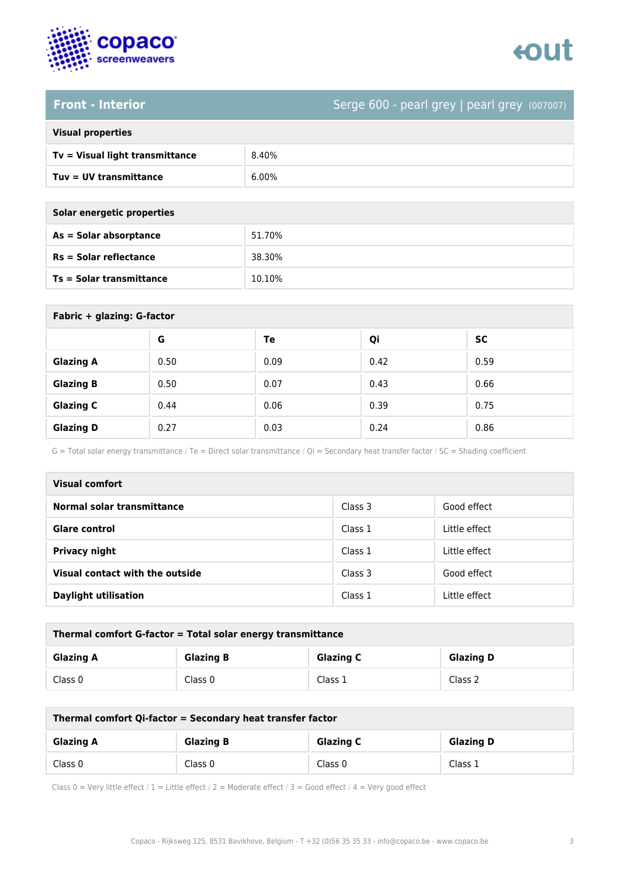

### **Front - Interior** Serge 600 - pearl grey | pearl grey (007007)

| <b>Visual properties</b> |  |  |
|--------------------------|--|--|
|                          |  |  |

| Tv = Visual light transmittance | 8.40%    |
|---------------------------------|----------|
| Tuv = UV transmittance          | $6.00\%$ |

| Solar energetic properties |
|----------------------------|
| As = Solar absorptance     |
|                            |

| As = Solar absorptance          | 51.70% |
|---------------------------------|--------|
| $Rs = Solar$ reflectance        | 38.30% |
| <b>Ts = Solar transmittance</b> | 10.10% |

| Fabric + glazing: G-factor |      |      |      |           |
|----------------------------|------|------|------|-----------|
|                            | G    | Te   | Qi   | <b>SC</b> |
| <b>Glazing A</b>           | 0.50 | 0.09 | 0.42 | 0.59      |
| <b>Glazing B</b>           | 0.50 | 0.07 | 0.43 | 0.66      |
| <b>Glazing C</b>           | 0.44 | 0.06 | 0.39 | 0.75      |
| <b>Glazing D</b>           | 0.27 | 0.03 | 0.24 | 0.86      |

G = Total solar energy transmittance / Te = Direct solar transmittance / Qi = Secondary heat transfer factor / SC = Shading coefficient

| <b>Visual comfort</b>           |         |               |
|---------------------------------|---------|---------------|
| Normal solar transmittance      | Class 3 | Good effect   |
| <b>Glare control</b>            | Class 1 | Little effect |
| <b>Privacy night</b>            | Class 1 | Little effect |
| Visual contact with the outside | Class 3 | Good effect   |
| <b>Daylight utilisation</b>     | Class 1 | Little effect |

| Thermal comfort G-factor = Total solar energy transmittance |                  |                  |                  |
|-------------------------------------------------------------|------------------|------------------|------------------|
| <b>Glazing A</b>                                            | <b>Glazing B</b> | <b>Glazing C</b> | <b>Glazing D</b> |
| Class 0                                                     | Class 0          | Class 1          | Class 2          |

| Thermal comfort Qi-factor = Secondary heat transfer factor |                  |                  |                  |
|------------------------------------------------------------|------------------|------------------|------------------|
| <b>Glazing A</b>                                           | <b>Glazing B</b> | <b>Glazing C</b> | <b>Glazing D</b> |
| Class 0                                                    | Class 0          | Class 0          | Class 1          |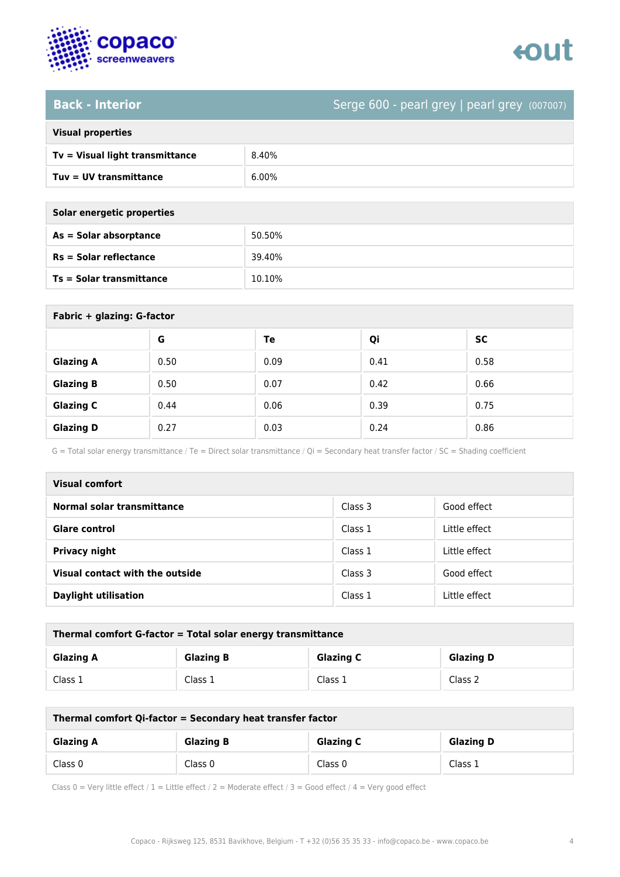

### **Back - Interior** Serge 600 - pearl grey | pearl grey (007007)

|  | <b>Visual properties</b> |
|--|--------------------------|

| Tv = Visual light transmittance | 8.40%    |
|---------------------------------|----------|
| $Tuv = UV$ transmittance        | $6.00\%$ |

**As = Solar absorptance** 50.50%

**Rs = Solar reflectance** 39.40%

| Solar energetic properties |
|----------------------------|
| As = Solar absorptance     |
| $Rs = Solar$ reflectance   |

**Ts = Solar transmittance** 10.10%

| Fabric + glazing: G-factor |      |      |      |           |
|----------------------------|------|------|------|-----------|
|                            | G    | Te   | Qi   | <b>SC</b> |
| <b>Glazing A</b>           | 0.50 | 0.09 | 0.41 | 0.58      |
| <b>Glazing B</b>           | 0.50 | 0.07 | 0.42 | 0.66      |
| <b>Glazing C</b>           | 0.44 | 0.06 | 0.39 | 0.75      |
| <b>Glazing D</b>           | 0.27 | 0.03 | 0.24 | 0.86      |

G = Total solar energy transmittance / Te = Direct solar transmittance / Qi = Secondary heat transfer factor / SC = Shading coefficient

| <b>Visual comfort</b>           |         |               |
|---------------------------------|---------|---------------|
| Normal solar transmittance      | Class 3 | Good effect   |
| <b>Glare control</b>            | Class 1 | Little effect |
| <b>Privacy night</b>            | Class 1 | Little effect |
| Visual contact with the outside | Class 3 | Good effect   |
| <b>Daylight utilisation</b>     | Class 1 | Little effect |

| Thermal comfort G-factor = Total solar energy transmittance |                  |                  |                  |
|-------------------------------------------------------------|------------------|------------------|------------------|
| <b>Glazing A</b>                                            | <b>Glazing B</b> | <b>Glazing C</b> | <b>Glazing D</b> |
| Class 1                                                     | Class 1          | Class 1          | Class 2          |

| Thermal comfort Qi-factor = Secondary heat transfer factor |                  |                  |                  |
|------------------------------------------------------------|------------------|------------------|------------------|
| <b>Glazing A</b>                                           | <b>Glazing B</b> | <b>Glazing C</b> | <b>Glazing D</b> |
| Class 0                                                    | Class 0          | Class 0          | Class 1          |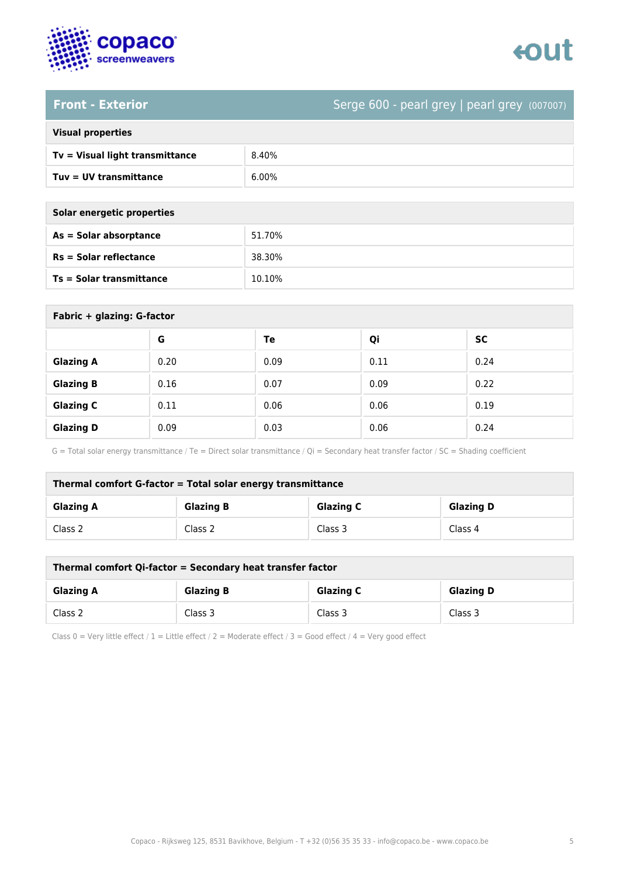

## **Front - Exterior** Serge 600 - pearl grey | pearl grey (007007)

| <b>Visual properties</b> |  |  |
|--------------------------|--|--|
|                          |  |  |

| Tv = Visual light transmittance | 8.40%    |
|---------------------------------|----------|
| $Tuv = UV$ transmittance        | $6.00\%$ |

| Solar energetic properties |        |  |
|----------------------------|--------|--|
| $As = Solar absorption$    | 51.70% |  |
| $Rs = Solar$ reflectance   | 38.30% |  |

**Ts = Solar transmittance** 10.10%

| Fabric + glazing: G-factor |      |      |      |           |
|----------------------------|------|------|------|-----------|
|                            | G    | Te   | Qi   | <b>SC</b> |
| <b>Glazing A</b>           | 0.20 | 0.09 | 0.11 | 0.24      |
| <b>Glazing B</b>           | 0.16 | 0.07 | 0.09 | 0.22      |
| <b>Glazing C</b>           | 0.11 | 0.06 | 0.06 | 0.19      |
| <b>Glazing D</b>           | 0.09 | 0.03 | 0.06 | 0.24      |

G = Total solar energy transmittance / Te = Direct solar transmittance / Qi = Secondary heat transfer factor / SC = Shading coefficient

| Thermal comfort G-factor = Total solar energy transmittance |                  |                  |                  |
|-------------------------------------------------------------|------------------|------------------|------------------|
| <b>Glazing A</b>                                            | <b>Glazing B</b> | <b>Glazing C</b> | <b>Glazing D</b> |
| Class 2                                                     | Class 2          | Class 3          | Class 4          |

| Thermal comfort Qi-factor = Secondary heat transfer factor |                  |                  |                  |
|------------------------------------------------------------|------------------|------------------|------------------|
| <b>Glazing A</b>                                           | <b>Glazing B</b> | <b>Glazing C</b> | <b>Glazing D</b> |
| Class 2                                                    | Class 3          | Class 3          | Class 3          |